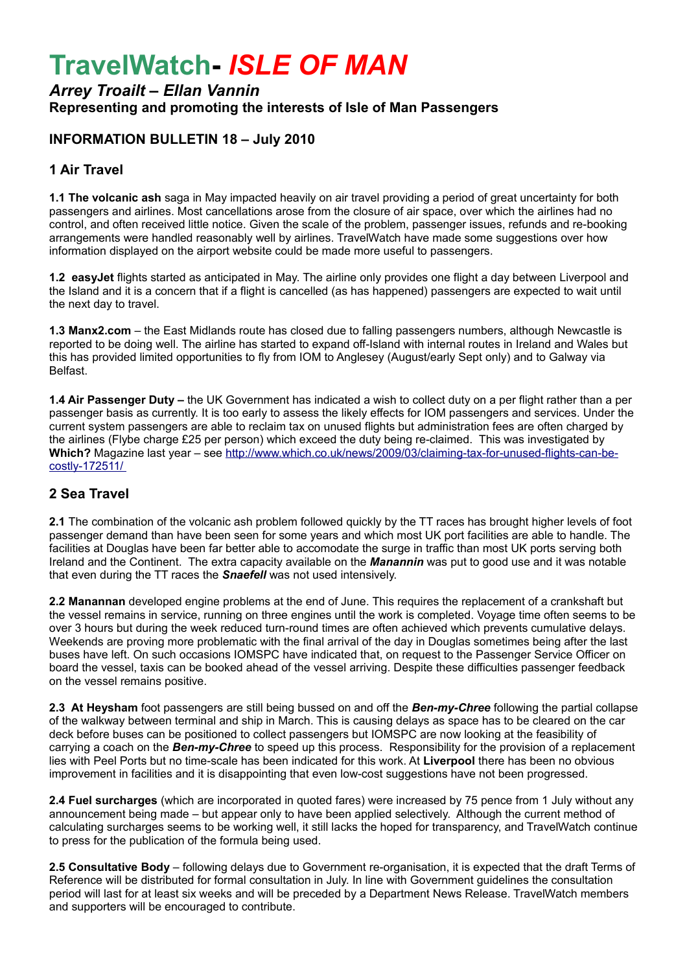# **TravelWatch-** *ISLE OF MAN*

# *Arrey Troailt – Ellan Vannin* **Representing and promoting the interests of Isle of Man Passengers**

## **INFORMATION BULLETIN 18 – July 2010**

#### **1 Air Travel**

**1.1 The volcanic ash** saga in May impacted heavily on air travel providing a period of great uncertainty for both passengers and airlines. Most cancellations arose from the closure of air space, over which the airlines had no control, and often received little notice. Given the scale of the problem, passenger issues, refunds and re-booking arrangements were handled reasonably well by airlines. TravelWatch have made some suggestions over how information displayed on the airport website could be made more useful to passengers.

**1.2 easyJet** flights started as anticipated in May. The airline only provides one flight a day between Liverpool and the Island and it is a concern that if a flight is cancelled (as has happened) passengers are expected to wait until the next day to travel.

**1.3 Manx2.com** – the East Midlands route has closed due to falling passengers numbers, although Newcastle is reported to be doing well. The airline has started to expand off-Island with internal routes in Ireland and Wales but this has provided limited opportunities to fly from IOM to Anglesey (August/early Sept only) and to Galway via Belfast.

**1.4 Air Passenger Duty –** the UK Government has indicated a wish to collect duty on a per flight rather than a per passenger basis as currently. It is too early to assess the likely effects for IOM passengers and services. Under the current system passengers are able to reclaim tax on unused flights but administration fees are often charged by the airlines (Flybe charge £25 per person) which exceed the duty being re-claimed. This was investigated by **Which?** Magazine last year – see [http://www.which.co.uk/news/2009/03/claiming-tax-for-unused-flights-can-be](http://www.which.co.uk/news/2009/03/claiming-tax-for-unused-flights-can-be-costly-172511/)  [costly-172511/](http://www.which.co.uk/news/2009/03/claiming-tax-for-unused-flights-can-be-costly-172511/)

#### **2 Sea Travel**

**2.1** The combination of the volcanic ash problem followed quickly by the TT races has brought higher levels of foot passenger demand than have been seen for some years and which most UK port facilities are able to handle. The facilities at Douglas have been far better able to accomodate the surge in traffic than most UK ports serving both Ireland and the Continent. The extra capacity available on the *Manannin* was put to good use and it was notable that even during the TT races the *Snaefell* was not used intensively.

**2.2 Manannan** developed engine problems at the end of June. This requires the replacement of a crankshaft but the vessel remains in service, running on three engines until the work is completed. Voyage time often seems to be over 3 hours but during the week reduced turn-round times are often achieved which prevents cumulative delays. Weekends are proving more problematic with the final arrival of the day in Douglas sometimes being after the last buses have left. On such occasions IOMSPC have indicated that, on request to the Passenger Service Officer on board the vessel, taxis can be booked ahead of the vessel arriving. Despite these difficulties passenger feedback on the vessel remains positive.

**2.3 At Heysham** foot passengers are still being bussed on and off the *Ben-my-Chree* following the partial collapse of the walkway between terminal and ship in March. This is causing delays as space has to be cleared on the car deck before buses can be positioned to collect passengers but IOMSPC are now looking at the feasibility of carrying a coach on the *Ben-my-Chree* to speed up this process. Responsibility for the provision of a replacement lies with Peel Ports but no time-scale has been indicated for this work. At **Liverpool** there has been no obvious improvement in facilities and it is disappointing that even low-cost suggestions have not been progressed.

**2.4 Fuel surcharges** (which are incorporated in quoted fares) were increased by 75 pence from 1 July without any announcement being made – but appear only to have been applied selectively. Although the current method of calculating surcharges seems to be working well, it still lacks the hoped for transparency, and TravelWatch continue to press for the publication of the formula being used.

**2.5 Consultative Body** – following delays due to Government re-organisation, it is expected that the draft Terms of Reference will be distributed for formal consultation in July. In line with Government guidelines the consultation period will last for at least six weeks and will be preceded by a Department News Release. TravelWatch members and supporters will be encouraged to contribute.